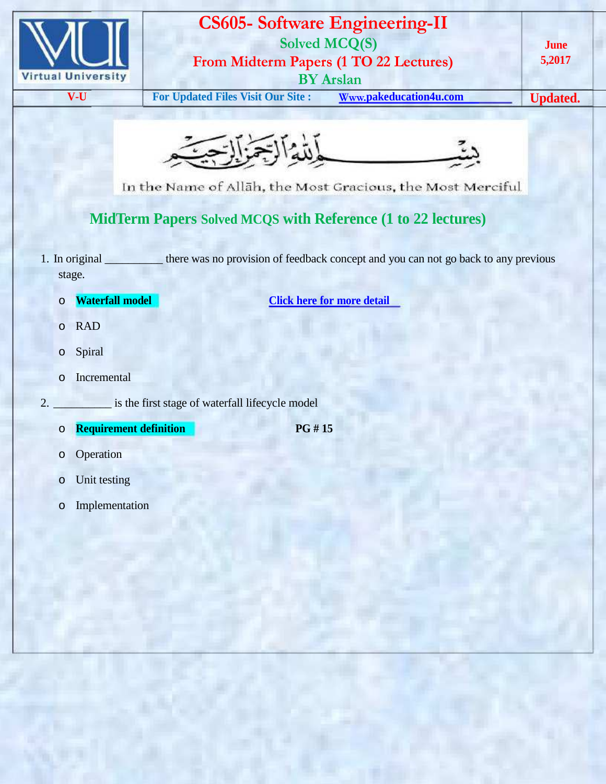

## **CS605- Software Engineering-II Solved MCQ(S) From Midterm Papers (1 TO 22 Lectures) BY Arslan**

**June 5,2017**

**V-U For Updated Files Visit Our Site** : **Www.pakeducation4u.com Updated.** 



In the Name of Allah, the Most Gracious, the Most Merciful

# **MidTerm Papers Solved MCQS with Reference (1 to 22 lectures)**

- 1. In original \_\_\_\_\_\_\_\_\_\_ there was no provision of feedback concept and you can not go back to any previous stage.
	-
	- o **Waterfall model Click here for more detail**
	- o RAD
	- o Spiral
	- o Incremental
- 2. \_\_\_\_\_\_\_\_\_\_\_\_\_\_ is the first stage of waterfall lifecycle model
	- o **Requirement definition PG # 15**
- 

- o Operation
- o Unit testing
- o Implementation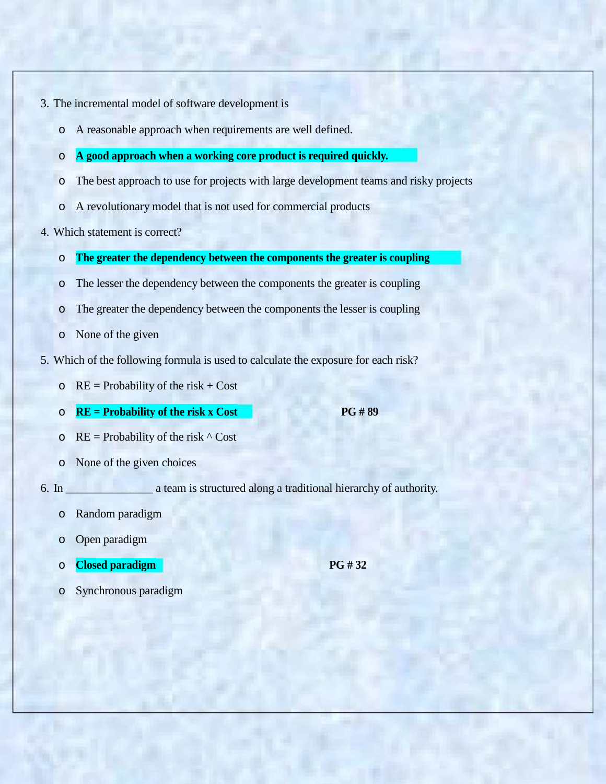- 3. The incremental model of software development is
	- o A reasonable approach when requirements are well defined.
	- o **A good approach when a working core product is required quickly.**
	- o The best approach to use for projects with large development teams and risky projects
	- o A revolutionary model that is not used for commercial products
- 4. Which statement is correct?
	- o **The greater the dependency between the components the greater is coupling**
	- o The lesser the dependency between the components the greater is coupling
	- o The greater the dependency between the components the lesser is coupling
	- o None of the given
- 5. Which of the following formula is used to calculate the exposure for each risk?
	- $\circ$  RE = Probability of the risk + Cost
	- o **RE = Probability of the risk x Cost PG # 89**

- $\circ$  RE = Probability of the risk  $\wedge$  Cost
- o None of the given choices

6. In \_\_\_\_\_\_\_\_\_\_\_\_\_\_\_ a team is structured along a traditional hierarchy of authority.

- o Random paradigm
- o Open paradigm
- o **Closed paradigm PG # 32**
- o Synchronous paradigm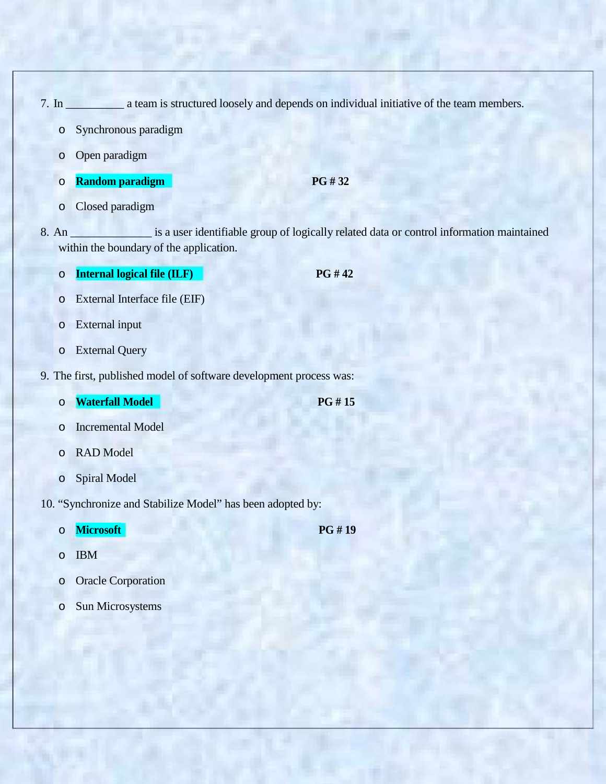- 7. In \_\_\_\_\_\_\_\_\_\_ a team is structured loosely and depends on individual initiative of the team members.
	- o Synchronous paradigm
	- o Open paradigm
	- o **Random paradigm PG # 32**
		-

- o Closed paradigm
- 8. An \_\_\_\_\_\_\_\_\_\_\_\_\_\_\_\_\_ is a user identifiable group of logically related data or control information maintained within the boundary of the application.
	- o **Internal logical file (ILF) PG # 42**
	- o External Interface file (EIF)
	- o External input
	- o External Query
- 9. The first, published model of software development process was:
	- o **Waterfall Model PG # 15**
	- o Incremental Model
	- o RAD Model
	- o Spiral Model
- 10. "Synchronize and Stabilize Model" has been adopted by:
	- o **Microsoft PG # 19**

- o IBM
- o Oracle Corporation
- o Sun Microsystems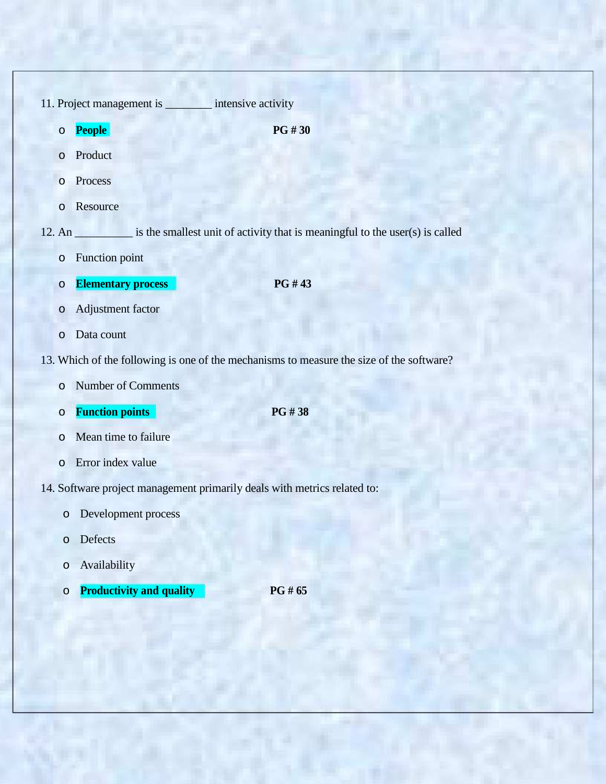| 11. Project management is __________ intensive activity                  |                                                                                                 |
|--------------------------------------------------------------------------|-------------------------------------------------------------------------------------------------|
| <b>People</b><br>$\circ$                                                 | <b>PG#30</b>                                                                                    |
| Product<br>$\circ$                                                       |                                                                                                 |
| Process<br>$\circ$                                                       |                                                                                                 |
| Resource<br>$\circ$                                                      |                                                                                                 |
|                                                                          | 12. An ___________ is the smallest unit of activity that is meaningful to the user(s) is called |
| Function point<br>$\circ$                                                |                                                                                                 |
| <b>Elementary process</b><br>$\circ$                                     | PG #43                                                                                          |
| Adjustment factor<br>$\circ$                                             |                                                                                                 |
| Data count<br>$\circ$                                                    |                                                                                                 |
|                                                                          | 13. Which of the following is one of the mechanisms to measure the size of the software?        |
| <b>Number of Comments</b><br>$\circ$                                     |                                                                                                 |
| <b>Function points</b><br>O                                              | PG #38                                                                                          |
| Mean time to failure<br>$\circ$                                          |                                                                                                 |
| Error index value<br>$\circ$                                             |                                                                                                 |
| 14. Software project management primarily deals with metrics related to: |                                                                                                 |
| Development process<br>$\circ$                                           |                                                                                                 |
| Defects<br>$\circ$                                                       |                                                                                                 |
| Availability<br>$\circ$                                                  |                                                                                                 |
| <b>Productivity and quality</b><br>$\circ$                               | PG # 65                                                                                         |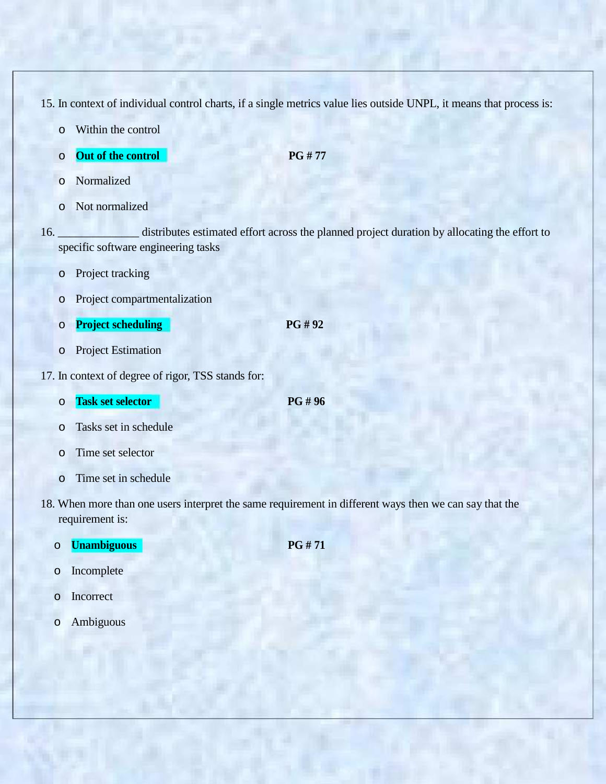15. In context of individual control charts, if a single metrics value lies outside UNPL, it means that process is:

- o Within the control
- o **Out of the control PG # 77**

- o Normalized
- o Not normalized

16. \_\_\_\_\_\_\_\_\_\_\_\_\_\_\_\_ distributes estimated effort across the planned project duration by allocating the effort to specific software engineering tasks

- o Project tracking
- o Project compartmentalization
- o **Project scheduling PG # 92**
- o Project Estimation
- 17. In context of degree of rigor, TSS stands for:
	- o **Task set selector PG # 96**
	- o Tasks set in schedule
	- o Time set selector
	- o Time set in schedule
- 18. When more than one users interpret the same requirement in different ways then we can say that the requirement is:
- o **Unambiguous PG # 71**
	- o Incomplete
	- o Incorrect
	- o Ambiguous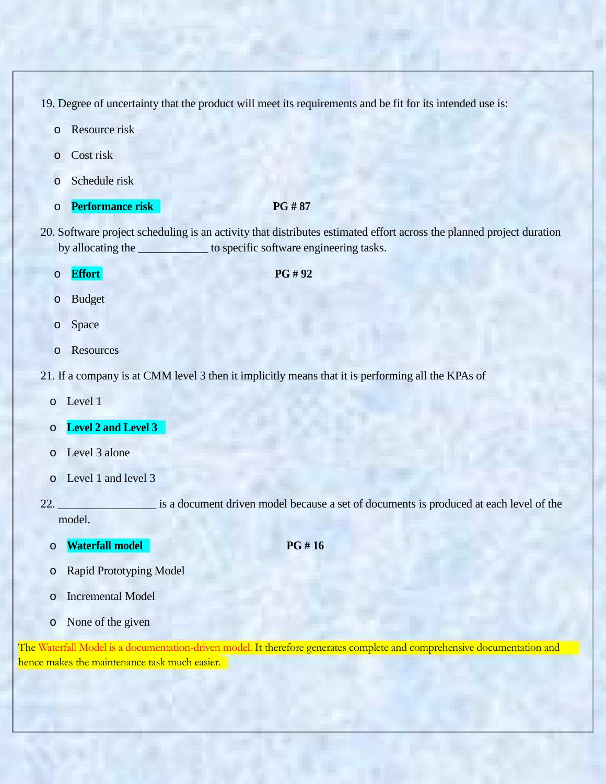19. Degree of uncertainty that the product will meet its requirements and be fit for its intended use is:

- o Resource risk
- o Cost risk
- o Schedule risk
- o **Performance risk PG # 87**

- 20. Software project scheduling is an activity that distributes estimated effort across the planned project duration by allocating the **we consider the set of specific software engineering tasks.** 
	- o **Effort PG # 92**

- o Budget
- o Space
- o Resources
- 21. If a company is at CMM level 3 then it implicitly means that it is performing all the KPAs of
	- o Level 1
	- o **Level 2 and Level 3**
	- o Level 3 alone
	- o Level 1 and level 3
- 22. \_\_\_\_\_\_\_\_\_\_\_\_\_\_\_\_\_ is a document driven model because a set of documents is produced at each level of the model.
	- o **Waterfall model PG # 16**

- o Rapid Prototyping Model
- o Incremental Model
- o None of the given

The Waterfall Model is a documentation-driven model. It therefore generates complete and comprehensive documentation and hence makes the maintenance task much easier.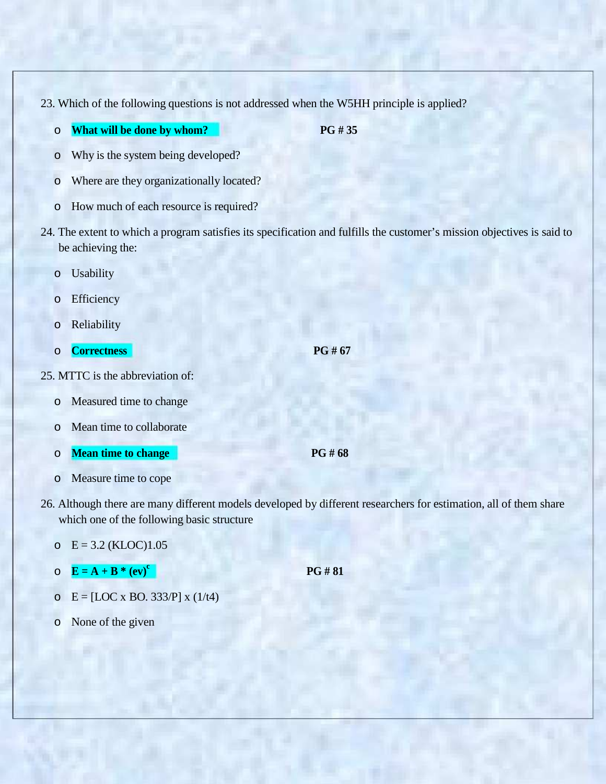23. Which of the following questions is not addressed when the W5HH principle is applied?

o **What will be done by whom? PG # 35**

- o Why is the system being developed?
- o Where are they organizationally located?
- o How much of each resource is required?
- 24. The extent to which a program satisfies its specification and fulfills the customer's mission objectives is said to be achieving the:
	- o Usability
	- o Efficiency
	- o Reliability
	- o **Correctness PG # 67**
- 25. MTTC is the abbreviation of:
	- o Measured time to change
	- o Mean time to collaborate
	- o **Mean time to change PG # 68**
	- o Measure time to cope
- 26. Although there are many different models developed by different researchers for estimation, all of them share which one of the following basic structure

### $E = 3.2$  (KLOC)1.05

- $\overline{\mathbf{E}} = \mathbf{A} + \mathbf{B}^* (\mathbf{ev})^c$
- o  $E = [LOC x BO. 333/P] x (1/t4)$
- o None of the given

**PG # 81**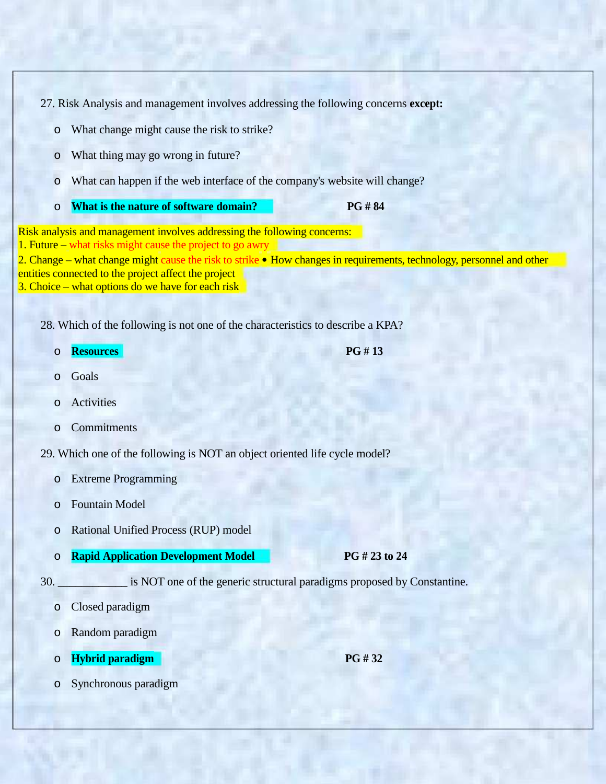27. Risk Analysis and management involves addressing the following concerns **except:**

- o What change might cause the risk to strike?
- o What thing may go wrong in future?
- o What can happen if the web interface of the company's website will change?
- o **What is the nature of software domain? PG # 84**

Risk analysis and management involves addressing the following concerns: 1. Future – what risks might cause the project to go awry 2. Change – what change might cause the risk to strike • How changes in requirements, technology, personnel and other entities connected to the project affect the project

3. Choice – what options do we have for each risk

28. Which of the following is not one of the characteristics to describe a KPA?

- o **Resources PG # 13**
- o Goals
- o Activities
- o Commitments
- 29. Which one of the following is NOT an object oriented life cycle model?
	- o Extreme Programming
	- o Fountain Model
	- o Rational Unified Process (RUP) model
	- o **Rapid Application Development Model PG # 23 to 24**

30. \_\_\_\_\_\_\_\_\_\_\_\_ is NOT one of the generic structural paradigms proposed by Constantine.

- o Closed paradigm
- o Random paradigm
- o **Hybrid paradigm PG # 32**

o Synchronous paradigm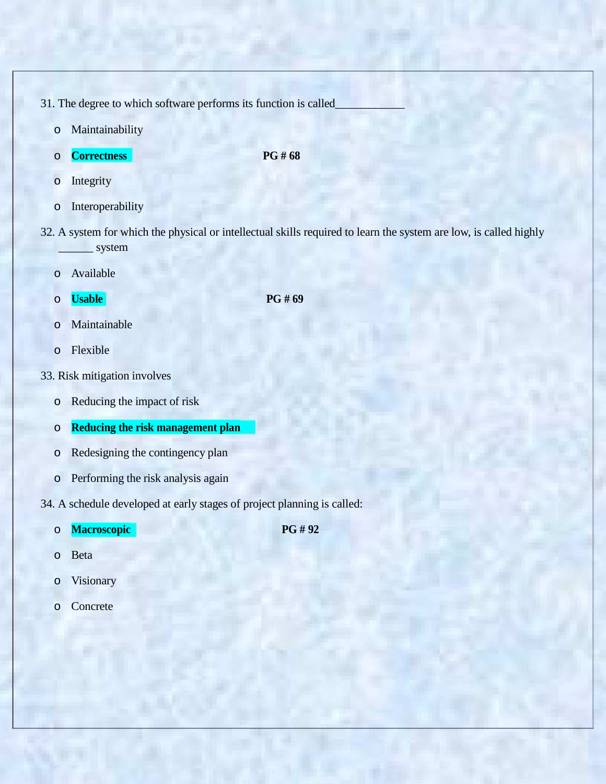31. The degree to which software performs its function is called

- o Maintainability
- o **Correctness PG # 68**

- o Integrity
- o Interoperability
- 32. A system for which the physical or intellectual skills required to learn the system are low, is called highly \_\_\_\_\_\_ system
	- o Available
	- o **Usable PG # 69**

- o Maintainable
- o Flexible
- 33. Risk mitigation involves
	- o Reducing the impact of risk
	- o **Reducing the risk management plan**
	- o Redesigning the contingency plan
	- o Performing the risk analysis again

34. A schedule developed at early stages of project planning is called:

o **Macroscopic PG # 92**

- o Beta
- o Visionary
- o Concrete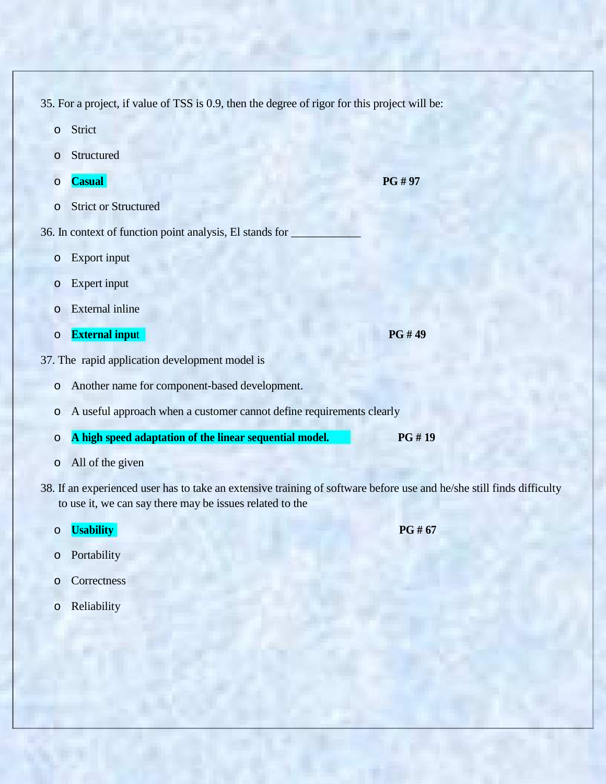- 35. For a project, if value of TSS is 0.9, then the degree of rigor for this project will be:
	- o Strict
	- o Structured
	- o **Casual PG # 97**
	- o Strict or Structured
- 36. In context of function point analysis, El stands for \_
	- o Export input
	- o Expert input
	- o External inline
	- o **External inpu**t **PG # 49**
- 37. The rapid application development model is
	- o Another name for component-based development.
	- o A useful approach when a customer cannot define requirements clearly
	- o **A high speed adaptation of the linear sequential model. PG # 19**
	- o All of the given
- 38. If an experienced user has to take an extensive training of software before use and he/she still finds difficulty to use it, we can say there may be issues related to the
	- o **Usability PG # 67**

- o Portability
- o Correctness
- o Reliability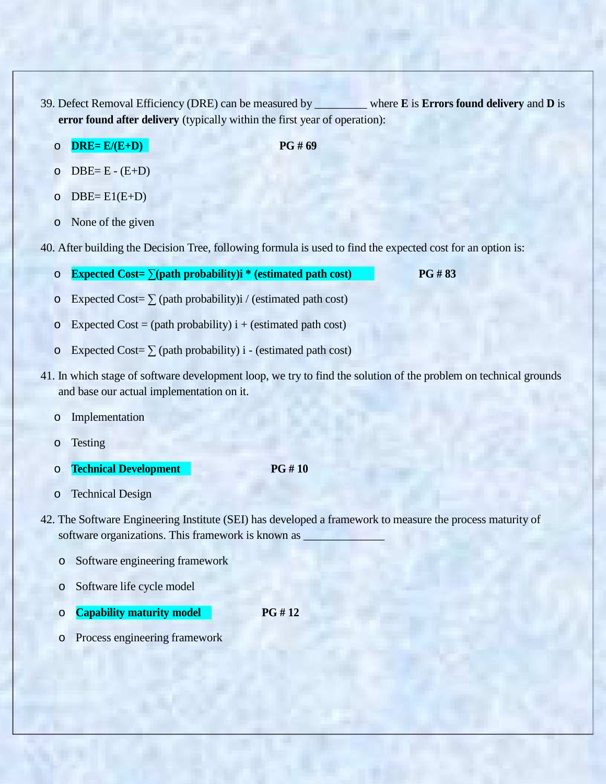- 39. Defect Removal Efficiency (DRE) can be measured by \_\_\_\_\_\_\_\_\_ where **E** is **Errors found delivery** and **D** is **error found after delivery** (typically within the first year of operation):
	- o **DRE= E/(E+D) PG # 69**

- $O$  DBE= E (E+D)
- $O$  DBE=  $E1(E+D)$
- o None of the given

40. After building the Decision Tree, following formula is used to find the expected cost for an option is:

- o **Expected Cost= ∑(path probability)i \* (estimated path cost) PG # 83**
- o Expected Cost=  $\Sigma$  (path probability)i / (estimated path cost)
- $\circ$  Expected Cost = (path probability) i + (estimated path cost)
- o Expected Cost=  $\Sigma$  (path probability) i (estimated path cost)
- 41. In which stage of software development loop, we try to find the solution of the problem on technical grounds and base our actual implementation on it.
	- o Implementation
	- o Testing
	- o **Technical Development PG # 10**
- 

- o Technical Design
- 42. The Software Engineering Institute (SEI) has developed a framework to measure the process maturity of software organizations. This framework is known as
	- o Software engineering framework
	- o Software life cycle model
	- o **Capability maturity model PG # 12**
	- o Process engineering framework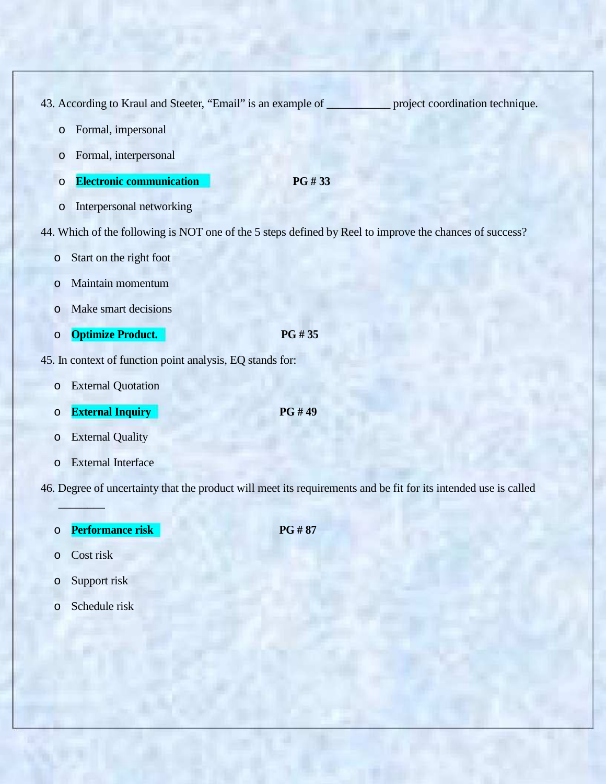43. According to Kraul and Steeter, "Email" is an example of project coordination technique.

- o Formal, impersonal
- o Formal, interpersonal
- o **Electronic communication PG # 33**
- o Interpersonal networking

44. Which of the following is NOT one of the 5 steps defined by Reel to improve the chances of success?

- o Start on the right foot
- o Maintain momentum
- o Make smart decisions
- o **Optimize Product. PG # 35**
- 45. In context of function point analysis, EQ stands for:
	- o External Quotation
	- o **External Inquiry PG # 49**
	- o External Quality
	- o External Interface

46. Degree of uncertainty that the product will meet its requirements and be fit for its intended use is called

o **Performance risk PG # 87**

o Cost risk

 $\mathbb{E}[\mathbf{q}]$ 

- o Support risk
- o Schedule risk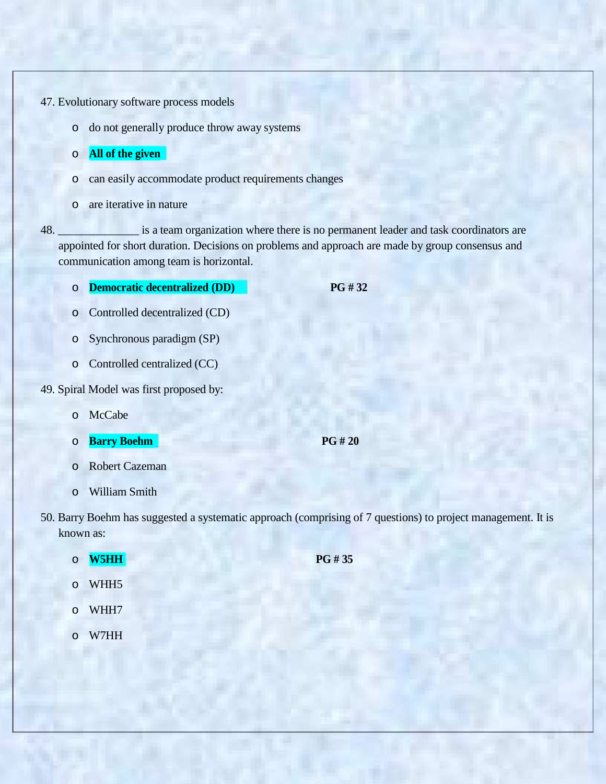47. Evolutionary software process models

o do not generally produce throw away systems

o **All of the given**

- o can easily accommodate product requirements changes
- o are iterative in nature

48. \_\_\_\_\_\_\_\_\_\_\_\_\_\_ is a team organization where there is no permanent leader and task coordinators are appointed for short duration. Decisions on problems and approach are made by group consensus and communication among team is horizontal.

- o **Democratic decentralized (DD) PG # 32**
- o Controlled decentralized (CD)
- o Synchronous paradigm (SP)
- o Controlled centralized (CC)

49. Spiral Model was first proposed by:

- o McCabe
- o **Barry Boehm PG # 20**
- o Robert Cazeman
- o William Smith
- 50. Barry Boehm has suggested a systematic approach (comprising of 7 questions) to project management. It is known as:
	- o **W5HH PG # 35**
	- o WHH5
	- o WHH7
	- o W7HH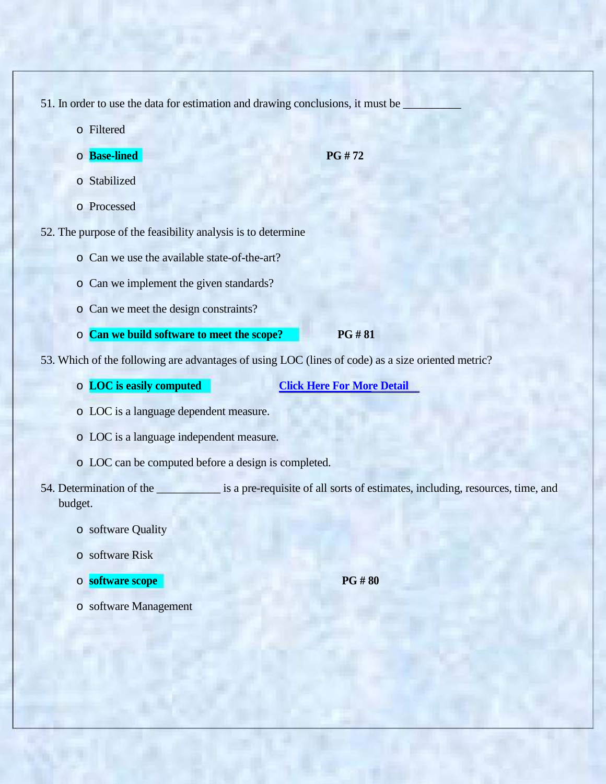- 51. In order to use the data for estimation and drawing conclusions, it must be
	- o Filtered
	- o **Base-lined PG # 72**

- o Stabilized
- o Processed
- 52. The purpose of the feasibility analysis is to determine
	- o Can we use the available state-of-the-art?
	- o Can we implement the given standards?
	- o Can we meet the design constraints?
	- o **Can we build software to meet the scope? PG # 81**
- 53. Which of the following are advantages of using LOC (lines of code) as a size oriented metric?
	- o **LOC is easily computed Click Here For More Detail**
	- o LOC is a language dependent measure.
	- o LOC is a language independent measure.
	- o LOC can be computed before a design is completed.
- 54. Determination of the same is a pre-requisite of all sorts of estimates, including, resources, time, and budget.
	- o software Quality
	- o software Risk
	- o **software scope PG # 80**

o software Management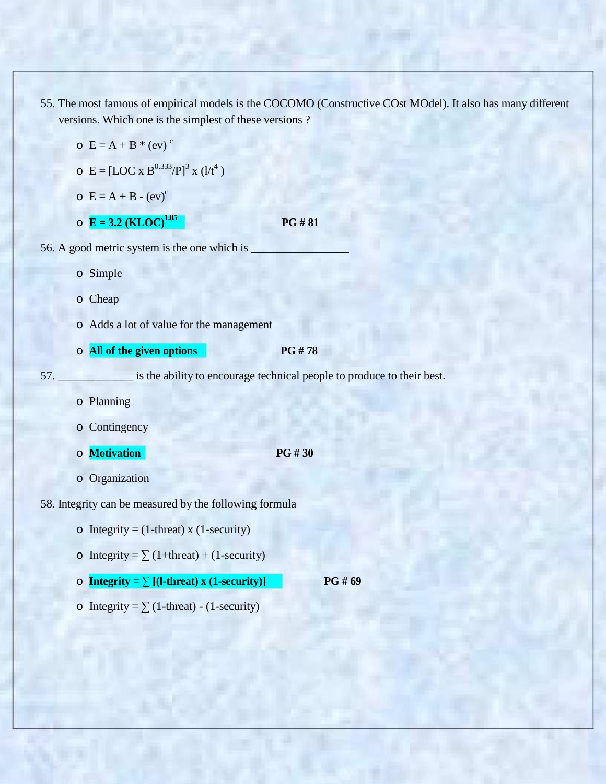55. The most famous of empirical models is the COCOMO (Constructive COst MOdel). It also has many different versions. Which one is the simplest of these versions ?

|     | $C = A + B * (ev)$ <sup>c</sup>                                              |                                                                        |  |
|-----|------------------------------------------------------------------------------|------------------------------------------------------------------------|--|
|     | $\circ$ E = [LOC x B <sup>0.333</sup> /P] <sup>3</sup> x (l/t <sup>4</sup> ) |                                                                        |  |
|     | $C = A + B - (ev)^c$                                                         |                                                                        |  |
|     | $\circ$ <b>E</b> = 3.2 ( <b>KLOC</b> ) <sup>1.05</sup>                       | <b>PG#81</b>                                                           |  |
|     | 56. A good metric system is the one which is                                 |                                                                        |  |
|     | o Simple                                                                     |                                                                        |  |
|     | o Cheap                                                                      |                                                                        |  |
|     | o Adds a lot of value for the management                                     |                                                                        |  |
|     | o All of the given options                                                   | <b>PG#78</b>                                                           |  |
|     |                                                                              |                                                                        |  |
| 57. |                                                                              | is the ability to encourage technical people to produce to their best. |  |
|     | o Planning                                                                   |                                                                        |  |
|     | o Contingency                                                                |                                                                        |  |
|     | o Motivation                                                                 | PG #30                                                                 |  |
|     | o Organization                                                               |                                                                        |  |
|     | 58. Integrity can be measured by the following formula                       |                                                                        |  |
|     | o Integrity = $(1$ -threat) x $(1$ -security)                                |                                                                        |  |
|     | o Integrity = $\sum$ (1+threat) + (1-security)                               |                                                                        |  |

 $\circ$  Integrity =  $\sum$  (1-threat) - (1-security)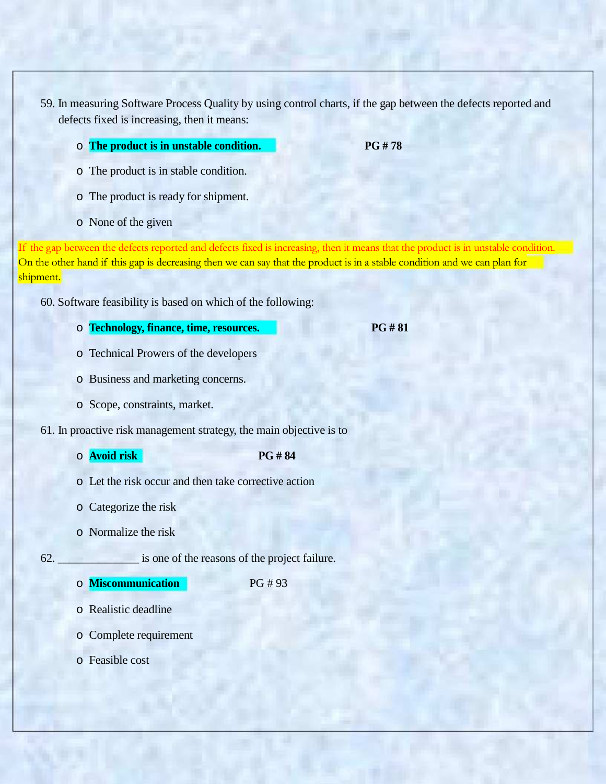59. In measuring Software Process Quality by using control charts, if the gap between the defects reported and defects fixed is increasing, then it means:

o **The product is in unstable condition. PG # 78**

- o The product is in stable condition.
- o The product is ready for shipment.
- o None of the given

If the gap between the defects reported and defects fixed is increasing, then it means that the product is in unstable condition. On the other hand if this gap is decreasing then we can say that the product is in a stable condition and we can plan for shipment.

60. Software feasibility is based on which of the following:

- o **Technology, finance, time, resources. PG # 81**
- o Technical Prowers of the developers
- o Business and marketing concerns.
- o Scope, constraints, market.
- 61. In proactive risk management strategy, the main objective is to
	- o **Avoid risk PG # 84**
	- o Let the risk occur and then take corrective action
	- o Categorize the risk
	- o Normalize the risk

62. \_\_\_\_\_\_\_\_\_\_\_\_\_\_ is one of the reasons of the project failure.

o **Miscommunication** PG # 93

- o Realistic deadline
- o Complete requirement
- o Feasible cost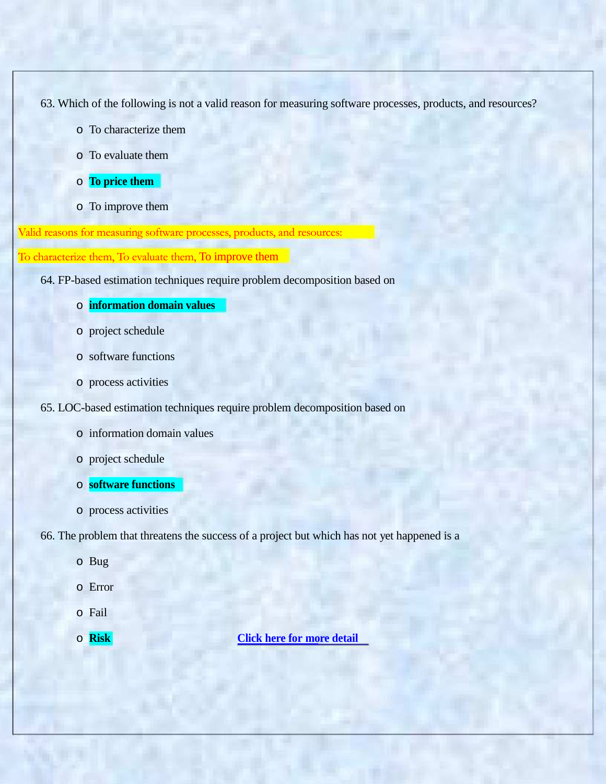63. Which of the following is not a valid reason for measuring software processes, products, and resources?

- o To characterize them
- o To evaluate them
- o **To price them**
- o To improve them

Valid reasons for measuring software processes, products, and resources:

To characterize them, To evaluate them, To improve them

- 64. FP-based estimation techniques require problem decomposition based on
	- o **information domain values**
	- o project schedule
	- o software functions
	- o process activities
- 65. LOC-based estimation techniques require problem decomposition based on
	- o information domain values
	- o project schedule
	- o **software functions**
	- o process activities

66. The problem that threatens the success of a project but which has not yet happened is a

- o Bug
- o Error
- o Fail
- 

### o **Risk Click here for more detail**